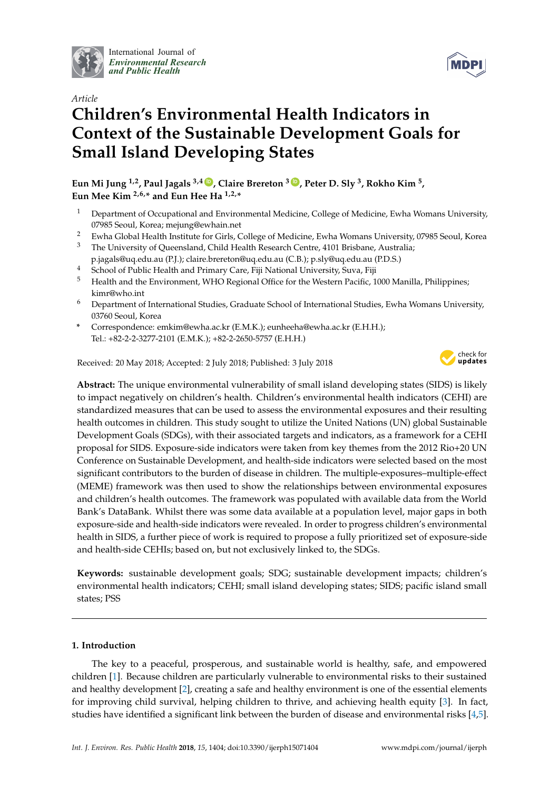

International Journal of *[Environmental Research](http://www.mdpi.com/journal/ijerph) and Public Health*



# *Article* **Children's Environmental Health Indicators in Context of the Sustainable Development Goals for Small Island Developing States**

**Eun Mi Jung 1,2, Paul Jagals 3,4 [ID](https://orcid.org/0000-0002-5839-698X) , Claire Brereton <sup>3</sup> [ID](https://orcid.org/0000-0001-8686-4237) , Peter D. Sly <sup>3</sup> , Rokho Kim <sup>5</sup> , Eun Mee Kim 2,6,\* and Eun Hee Ha 1,2,\***

- <sup>1</sup> Department of Occupational and Environmental Medicine, College of Medicine, Ewha Womans University, 07985 Seoul, Korea; mejung@ewhain.net
- <sup>2</sup> Ewha Global Health Institute for Girls, College of Medicine, Ewha Womans University, 07985 Seoul, Korea<br><sup>3</sup> The University of Queensland, Child Health Besearch Centre, 4101 Brichane, Australia.
- <sup>3</sup> The University of Queensland, Child Health Research Centre, 4101 Brisbane, Australia; p.jagals@uq.edu.au (P.J.); claire.brereton@uq.edu.au (C.B.); p.sly@uq.edu.au (P.D.S.)
- School of Public Health and Primary Care, Fiji National University, Suva, Fiji
- <sup>5</sup> Health and the Environment, WHO Regional Office for the Western Pacific, 1000 Manilla, Philippines; kimr@who.int
- <sup>6</sup> Department of International Studies, Graduate School of International Studies, Ewha Womans University, 03760 Seoul, Korea
- **\*** Correspondence: emkim@ewha.ac.kr (E.M.K.); eunheeha@ewha.ac.kr (E.H.H.); Tel.: +82-2-2-3277-2101 (E.M.K.); +82-2-2650-5757 (E.H.H.)

Received: 20 May 2018; Accepted: 2 July 2018; Published: 3 July 2018



**Abstract:** The unique environmental vulnerability of small island developing states (SIDS) is likely to impact negatively on children's health. Children's environmental health indicators (CEHI) are standardized measures that can be used to assess the environmental exposures and their resulting health outcomes in children. This study sought to utilize the United Nations (UN) global Sustainable Development Goals (SDGs), with their associated targets and indicators, as a framework for a CEHI proposal for SIDS. Exposure-side indicators were taken from key themes from the 2012 Rio+20 UN Conference on Sustainable Development, and health-side indicators were selected based on the most significant contributors to the burden of disease in children. The multiple-exposures–multiple-effect (MEME) framework was then used to show the relationships between environmental exposures and children's health outcomes. The framework was populated with available data from the World Bank's DataBank. Whilst there was some data available at a population level, major gaps in both exposure-side and health-side indicators were revealed. In order to progress children's environmental health in SIDS, a further piece of work is required to propose a fully prioritized set of exposure-side and health-side CEHIs; based on, but not exclusively linked to, the SDGs.

**Keywords:** sustainable development goals; SDG; sustainable development impacts; children's environmental health indicators; CEHI; small island developing states; SIDS; pacific island small states; PSS

## **1. Introduction**

The key to a peaceful, prosperous, and sustainable world is healthy, safe, and empowered children [\[1\]](#page-9-0). Because children are particularly vulnerable to environmental risks to their sustained and healthy development [\[2\]](#page-9-1), creating a safe and healthy environment is one of the essential elements for improving child survival, helping children to thrive, and achieving health equity [\[3\]](#page-9-2). In fact, studies have identified a significant link between the burden of disease and environmental risks [\[4,](#page-9-3)[5\]](#page-9-4).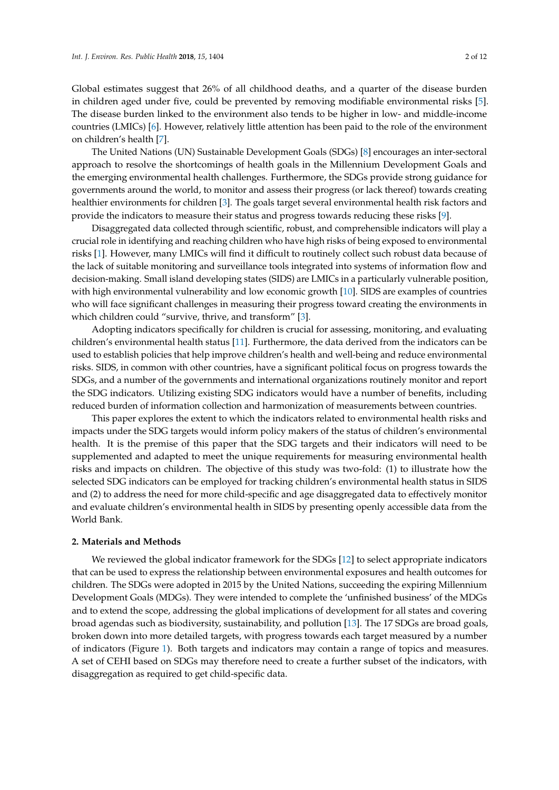Global estimates suggest that 26% of all childhood deaths, and a quarter of the disease burden in children aged under five, could be prevented by removing modifiable environmental risks [\[5\]](#page-9-4). The disease burden linked to the environment also tends to be higher in low- and middle-income countries (LMICs) [\[6\]](#page-9-5). However, relatively little attention has been paid to the role of the environment on children's health [\[7\]](#page-9-6).

The United Nations (UN) Sustainable Development Goals (SDGs) [\[8\]](#page-10-0) encourages an inter-sectoral approach to resolve the shortcomings of health goals in the Millennium Development Goals and the emerging environmental health challenges. Furthermore, the SDGs provide strong guidance for governments around the world, to monitor and assess their progress (or lack thereof) towards creating healthier environments for children [\[3\]](#page-9-2). The goals target several environmental health risk factors and provide the indicators to measure their status and progress towards reducing these risks [\[9\]](#page-10-1).

Disaggregated data collected through scientific, robust, and comprehensible indicators will play a crucial role in identifying and reaching children who have high risks of being exposed to environmental risks [\[1\]](#page-9-0). However, many LMICs will find it difficult to routinely collect such robust data because of the lack of suitable monitoring and surveillance tools integrated into systems of information flow and decision-making. Small island developing states (SIDS) are LMICs in a particularly vulnerable position, with high environmental vulnerability and low economic growth [\[10\]](#page-10-2). SIDS are examples of countries who will face significant challenges in measuring their progress toward creating the environments in which children could "survive, thrive, and transform" [\[3\]](#page-9-2).

Adopting indicators specifically for children is crucial for assessing, monitoring, and evaluating children's environmental health status [\[11\]](#page-10-3). Furthermore, the data derived from the indicators can be used to establish policies that help improve children's health and well-being and reduce environmental risks. SIDS, in common with other countries, have a significant political focus on progress towards the SDGs, and a number of the governments and international organizations routinely monitor and report the SDG indicators. Utilizing existing SDG indicators would have a number of benefits, including reduced burden of information collection and harmonization of measurements between countries.

This paper explores the extent to which the indicators related to environmental health risks and impacts under the SDG targets would inform policy makers of the status of children's environmental health. It is the premise of this paper that the SDG targets and their indicators will need to be supplemented and adapted to meet the unique requirements for measuring environmental health risks and impacts on children. The objective of this study was two-fold: (1) to illustrate how the selected SDG indicators can be employed for tracking children's environmental health status in SIDS and (2) to address the need for more child-specific and age disaggregated data to effectively monitor and evaluate children's environmental health in SIDS by presenting openly accessible data from the World Bank.

#### **2. Materials and Methods**

We reviewed the global indicator framework for the SDGs [\[12\]](#page-10-4) to select appropriate indicators that can be used to express the relationship between environmental exposures and health outcomes for children. The SDGs were adopted in 2015 by the United Nations, succeeding the expiring Millennium Development Goals (MDGs). They were intended to complete the 'unfinished business' of the MDGs and to extend the scope, addressing the global implications of development for all states and covering broad agendas such as biodiversity, sustainability, and pollution [\[13\]](#page-10-5). The 17 SDGs are broad goals, broken down into more detailed targets, with progress towards each target measured by a number of indicators (Figure [1\)](#page-2-0). Both targets and indicators may contain a range of topics and measures. A set of CEHI based on SDGs may therefore need to create a further subset of the indicators, with disaggregation as required to get child-specific data.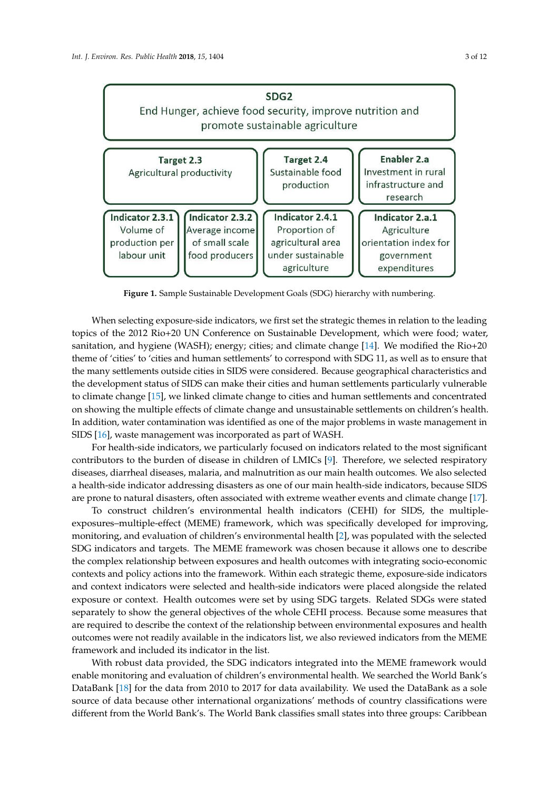<span id="page-2-0"></span>

**Figure 1.** Sample Sustainable Development Goals (SDG) hierarchy with numbering. **Figure 1.** Sample Sustainable Development Goals (SDG) hierarchy with numbering.

When selecting exposure-side indicators, we first set the strategic themes in relation to the leading topics of the 2012 Rio+20 UN Conference on Sustainable Development, which were food; water,  $\epsilon$  to the initial (MIACII), an event sities, and aliments shapes  $\epsilon$  [14]. We use dified the sanitation, and hygiene (WASH); energy; cities; and climate change [\[14\]](#page-10-6). We modified the Rio+20 theme of 'cities' to 'cities and human settlements' to correspond with SDG 11, as well as to ensure that the many settlements outside cities in SIDS were considered. Because geographical characteristics and the development status of SIDS can make their cities and human settlements particularly vulnerable to climate change [\[15\]](#page-10-7), we linked climate change to cities and human settlements and concentrated on showing the multiple effects of climate change and unsustainable settlements on children's health.  $\frac{1}{\sqrt{1-\frac{1}{\sqrt{1-\frac{1}{\sqrt{1-\frac{1}{\sqrt{1-\frac{1}{\sqrt{1-\frac{1}{\sqrt{1-\frac{1}{\sqrt{1-\frac{1}{\sqrt{1-\frac{1}{\sqrt{1-\frac{1}{\sqrt{1-\frac{1}{\sqrt{1-\frac{1}{\sqrt{1-\frac{1}{\sqrt{1-\frac{1}{\sqrt{1-\frac{1}{\sqrt{1-\frac{1}{\sqrt{1-\frac{1}{\sqrt{1-\frac{1}{\sqrt{1-\frac{1}{\sqrt{1-\frac{1}{\sqrt{1-\frac{1}{\sqrt{1-\frac{1}{\sqrt{1-\frac{1}{\sqrt{1-\frac{1}{\sqrt{1-\frac{1$ In addition, water contamination was identified as one of the major problems in waste management in SIDS [\[16\]](#page-10-8), waste management was incorporated as part of WASH.

For health-side indicators, we particularly focused on indicators related to the most significant contributors to the burden of disease in children of LMICs [\[9\]](#page-10-1). Therefore, we selected respiratory diseases, diarrheal diseases, malaria, and malnutrition as our main health outcomes. We also selected a health-side indicator addressing disasters as one of our main health-side indicators, because SIDS monitoring, and evaluation of children's environmental health children indicators, security are prone to natural disasters, often associated with extreme weather events and climate change [\[17\]](#page-10-9).

To construct children's environmental health indicators (CEHI) for SIDS, the multipleexposures–multiple-effect (MEME) framework, which was specifically developed for improving, monitoring, and evaluation of children's environmental health [\[2\]](#page-9-1), was populated with the selected SDG indicators and targets. The MEME framework was chosen because it allows one to describe separately to show the general objectives of the whole CEHI process. Because some measures that are the complex relationship between exposures and health outcomes with integrating socio-economic contexts and policy actions into the framework. Within each strategic theme, exposure-side indicators and context indicators were selected and health-side indicators were placed alongside the related exposure or context. Health outcomes were set by using SDG targets. Related SDGs were stated separately to show the general objectives of the whole CEHI process. Because some measures that are required to describe the context of the relationship between environmental exposures and health source of data because other international organizations' methods of country classifications were countered with  $\alpha$ outcomes were not readily available in the indicators list, we also reviewed indicators from the MEME framework and included its indicator in the list.

With robust data provided, the SDG indicators integrated into the MEME framework would enable monitoring and evaluation of children's environmental health. We searched the World Bank's DataBank [\[18\]](#page-10-10) for the data from 2010 to 2017 for data availability. We used the DataBank as a sole source of data because other international organizations' methods of country classifications were different from the World Bank's. The World Bank classifies small states into three groups: Caribbean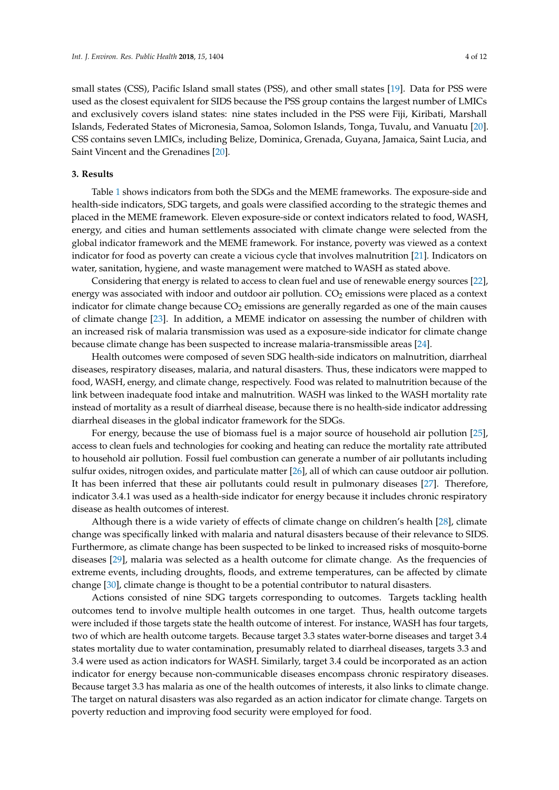small states (CSS), Pacific Island small states (PSS), and other small states [\[19\]](#page-10-11). Data for PSS were used as the closest equivalent for SIDS because the PSS group contains the largest number of LMICs and exclusively covers island states: nine states included in the PSS were Fiji, Kiribati, Marshall Islands, Federated States of Micronesia, Samoa, Solomon Islands, Tonga, Tuvalu, and Vanuatu [\[20\]](#page-10-12). CSS contains seven LMICs, including Belize, Dominica, Grenada, Guyana, Jamaica, Saint Lucia, and Saint Vincent and the Grenadines [\[20\]](#page-10-12).

#### **3. Results**

Table [1](#page-4-0) shows indicators from both the SDGs and the MEME frameworks. The exposure-side and health-side indicators, SDG targets, and goals were classified according to the strategic themes and placed in the MEME framework. Eleven exposure-side or context indicators related to food, WASH, energy, and cities and human settlements associated with climate change were selected from the global indicator framework and the MEME framework. For instance, poverty was viewed as a context indicator for food as poverty can create a vicious cycle that involves malnutrition [\[21\]](#page-10-13). Indicators on water, sanitation, hygiene, and waste management were matched to WASH as stated above.

Considering that energy is related to access to clean fuel and use of renewable energy sources [\[22\]](#page-10-14), energy was associated with indoor and outdoor air pollution.  $CO<sub>2</sub>$  emissions were placed as a context indicator for climate change because  $CO<sub>2</sub>$  emissions are generally regarded as one of the main causes of climate change [\[23\]](#page-10-15). In addition, a MEME indicator on assessing the number of children with an increased risk of malaria transmission was used as a exposure-side indicator for climate change because climate change has been suspected to increase malaria-transmissible areas [\[24\]](#page-10-16).

Health outcomes were composed of seven SDG health-side indicators on malnutrition, diarrheal diseases, respiratory diseases, malaria, and natural disasters. Thus, these indicators were mapped to food, WASH, energy, and climate change, respectively. Food was related to malnutrition because of the link between inadequate food intake and malnutrition. WASH was linked to the WASH mortality rate instead of mortality as a result of diarrheal disease, because there is no health-side indicator addressing diarrheal diseases in the global indicator framework for the SDGs.

For energy, because the use of biomass fuel is a major source of household air pollution [\[25\]](#page-10-17), access to clean fuels and technologies for cooking and heating can reduce the mortality rate attributed to household air pollution. Fossil fuel combustion can generate a number of air pollutants including sulfur oxides, nitrogen oxides, and particulate matter [\[26\]](#page-10-18), all of which can cause outdoor air pollution. It has been inferred that these air pollutants could result in pulmonary diseases [\[27\]](#page-10-19). Therefore, indicator 3.4.1 was used as a health-side indicator for energy because it includes chronic respiratory disease as health outcomes of interest.

Although there is a wide variety of effects of climate change on children's health [\[28\]](#page-10-20), climate change was specifically linked with malaria and natural disasters because of their relevance to SIDS. Furthermore, as climate change has been suspected to be linked to increased risks of mosquito-borne diseases [\[29\]](#page-10-21), malaria was selected as a health outcome for climate change. As the frequencies of extreme events, including droughts, floods, and extreme temperatures, can be affected by climate change [\[30\]](#page-10-22), climate change is thought to be a potential contributor to natural disasters.

Actions consisted of nine SDG targets corresponding to outcomes. Targets tackling health outcomes tend to involve multiple health outcomes in one target. Thus, health outcome targets were included if those targets state the health outcome of interest. For instance, WASH has four targets, two of which are health outcome targets. Because target 3.3 states water-borne diseases and target 3.4 states mortality due to water contamination, presumably related to diarrheal diseases, targets 3.3 and 3.4 were used as action indicators for WASH. Similarly, target 3.4 could be incorporated as an action indicator for energy because non-communicable diseases encompass chronic respiratory diseases. Because target 3.3 has malaria as one of the health outcomes of interests, it also links to climate change. The target on natural disasters was also regarded as an action indicator for climate change. Targets on poverty reduction and improving food security were employed for food.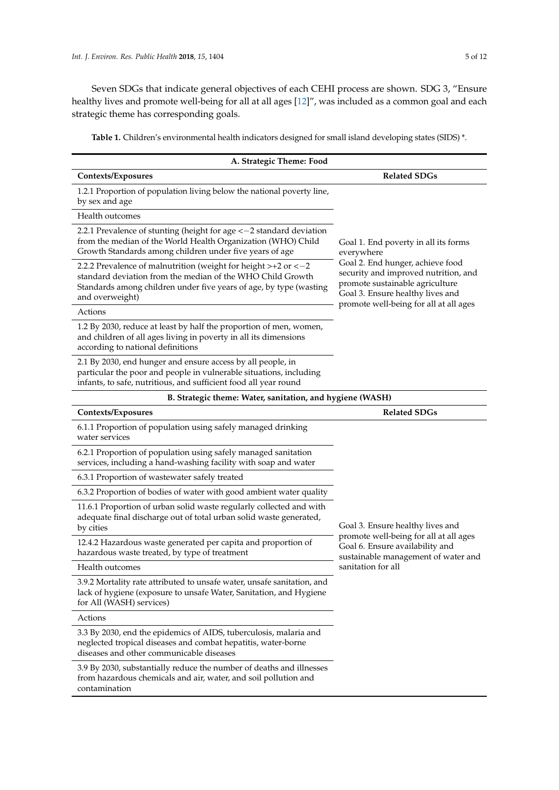Seven SDGs that indicate general objectives of each CEHI process are shown. SDG 3, "Ensure healthy lives and promote well-being for all at all ages [\[12\]](#page-10-4)", was included as a common goal and each strategic theme has corresponding goals.

<span id="page-4-0"></span>**Table 1.** Children's environmental health indicators designed for small island developing states (SIDS) \*.

| A. Strategic Theme: Food                                                                                                                                                                                                    |                                                                                                                                                                                                       |  |  |  |
|-----------------------------------------------------------------------------------------------------------------------------------------------------------------------------------------------------------------------------|-------------------------------------------------------------------------------------------------------------------------------------------------------------------------------------------------------|--|--|--|
| Contexts/Exposures                                                                                                                                                                                                          | <b>Related SDGs</b>                                                                                                                                                                                   |  |  |  |
| 1.2.1 Proportion of population living below the national poverty line,<br>by sex and age                                                                                                                                    |                                                                                                                                                                                                       |  |  |  |
| Health outcomes                                                                                                                                                                                                             |                                                                                                                                                                                                       |  |  |  |
| 2.2.1 Prevalence of stunting (height for age $<-2$ standard deviation<br>from the median of the World Health Organization (WHO) Child<br>Growth Standards among children under five years of age                            | Goal 1. End poverty in all its forms<br>everywhere<br>Goal 2. End hunger, achieve food<br>security and improved nutrition, and<br>promote sustainable agriculture<br>Goal 3. Ensure healthy lives and |  |  |  |
| 2.2.2 Prevalence of malnutrition (weight for height $\ge$ +2 or < -2<br>standard deviation from the median of the WHO Child Growth<br>Standards among children under five years of age, by type (wasting<br>and overweight) |                                                                                                                                                                                                       |  |  |  |
| Actions                                                                                                                                                                                                                     | promote well-being for all at all ages                                                                                                                                                                |  |  |  |
| 1.2 By 2030, reduce at least by half the proportion of men, women,<br>and children of all ages living in poverty in all its dimensions<br>according to national definitions                                                 |                                                                                                                                                                                                       |  |  |  |
| 2.1 By 2030, end hunger and ensure access by all people, in<br>particular the poor and people in vulnerable situations, including<br>infants, to safe, nutritious, and sufficient food all year round                       |                                                                                                                                                                                                       |  |  |  |
| B. Strategic theme: Water, sanitation, and hygiene (WASH)                                                                                                                                                                   |                                                                                                                                                                                                       |  |  |  |
| Contexts/Exposures                                                                                                                                                                                                          | <b>Related SDGs</b>                                                                                                                                                                                   |  |  |  |
| 6.1.1 Proportion of population using safely managed drinking<br>water services                                                                                                                                              |                                                                                                                                                                                                       |  |  |  |
| 6.2.1 Proportion of population using safely managed sanitation<br>services, including a hand-washing facility with soap and water                                                                                           |                                                                                                                                                                                                       |  |  |  |
| 6.3.1 Proportion of wastewater safely treated                                                                                                                                                                               |                                                                                                                                                                                                       |  |  |  |
| 6.3.2 Proportion of bodies of water with good ambient water quality                                                                                                                                                         |                                                                                                                                                                                                       |  |  |  |
| 11.6.1 Proportion of urban solid waste regularly collected and with<br>adequate final discharge out of total urban solid waste generated,<br>by cities                                                                      | Goal 3. Ensure healthy lives and<br>promote well-being for all at all ages<br>Goal 6. Ensure availability and<br>sustainable management of water and                                                  |  |  |  |
| 12.4.2 Hazardous waste generated per capita and proportion of<br>hazardous waste treated, by type of treatment                                                                                                              |                                                                                                                                                                                                       |  |  |  |
| Health outcomes                                                                                                                                                                                                             | sanitation for all                                                                                                                                                                                    |  |  |  |
| 3.9.2 Mortality rate attributed to unsafe water, unsafe sanitation, and<br>lack of hygiene (exposure to unsafe Water, Sanitation, and Hygiene<br>for All (WASH) services)                                                   |                                                                                                                                                                                                       |  |  |  |
| Actions                                                                                                                                                                                                                     |                                                                                                                                                                                                       |  |  |  |
| 3.3 By 2030, end the epidemics of AIDS, tuberculosis, malaria and<br>neglected tropical diseases and combat hepatitis, water-borne<br>diseases and other communicable diseases                                              |                                                                                                                                                                                                       |  |  |  |
| 3.9 By 2030, substantially reduce the number of deaths and illnesses<br>from hazardous chemicals and air, water, and soil pollution and<br>contamination                                                                    |                                                                                                                                                                                                       |  |  |  |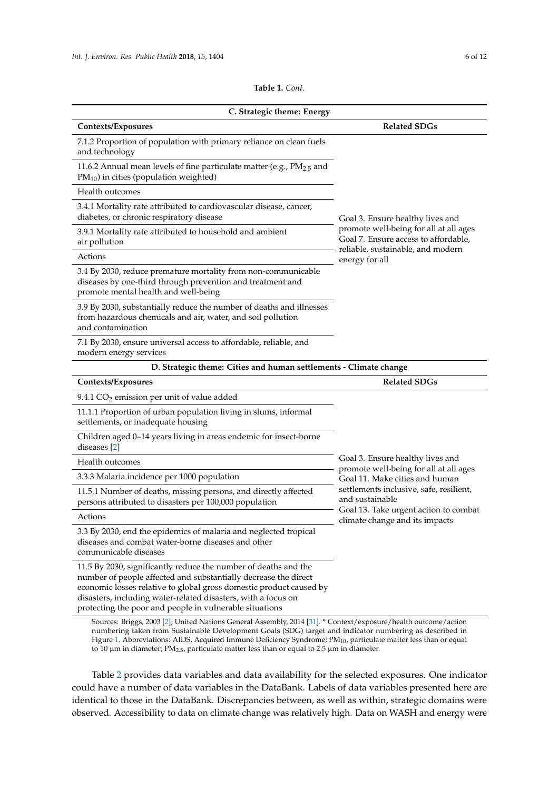**Table 1.** *Cont.*

| C. Strategic theme: Energy                                                                                                                                                                                                                                                                                                                                                                                                                             |                                                                                                                                                                                                                                                       |  |  |  |
|--------------------------------------------------------------------------------------------------------------------------------------------------------------------------------------------------------------------------------------------------------------------------------------------------------------------------------------------------------------------------------------------------------------------------------------------------------|-------------------------------------------------------------------------------------------------------------------------------------------------------------------------------------------------------------------------------------------------------|--|--|--|
| Contexts/Exposures                                                                                                                                                                                                                                                                                                                                                                                                                                     | <b>Related SDGs</b>                                                                                                                                                                                                                                   |  |  |  |
| 7.1.2 Proportion of population with primary reliance on clean fuels<br>and technology                                                                                                                                                                                                                                                                                                                                                                  |                                                                                                                                                                                                                                                       |  |  |  |
| 11.6.2 Annual mean levels of fine particulate matter (e.g., $PM_{2.5}$ and<br>$PM_{10}$ ) in cities (population weighted)                                                                                                                                                                                                                                                                                                                              |                                                                                                                                                                                                                                                       |  |  |  |
| Health outcomes                                                                                                                                                                                                                                                                                                                                                                                                                                        |                                                                                                                                                                                                                                                       |  |  |  |
| 3.4.1 Mortality rate attributed to cardiovascular disease, cancer,<br>diabetes, or chronic respiratory disease                                                                                                                                                                                                                                                                                                                                         | Goal 3. Ensure healthy lives and<br>promote well-being for all at all ages<br>Goal 7. Ensure access to affordable,                                                                                                                                    |  |  |  |
| 3.9.1 Mortality rate attributed to household and ambient<br>air pollution                                                                                                                                                                                                                                                                                                                                                                              |                                                                                                                                                                                                                                                       |  |  |  |
| Actions                                                                                                                                                                                                                                                                                                                                                                                                                                                | reliable, sustainable, and modern<br>energy for all                                                                                                                                                                                                   |  |  |  |
| 3.4 By 2030, reduce premature mortality from non-communicable<br>diseases by one-third through prevention and treatment and<br>promote mental health and well-being                                                                                                                                                                                                                                                                                    |                                                                                                                                                                                                                                                       |  |  |  |
| 3.9 By 2030, substantially reduce the number of deaths and illnesses<br>from hazardous chemicals and air, water, and soil pollution<br>and contamination                                                                                                                                                                                                                                                                                               |                                                                                                                                                                                                                                                       |  |  |  |
| 7.1 By 2030, ensure universal access to affordable, reliable, and<br>modern energy services                                                                                                                                                                                                                                                                                                                                                            |                                                                                                                                                                                                                                                       |  |  |  |
| D. Strategic theme: Cities and human settlements - Climate change                                                                                                                                                                                                                                                                                                                                                                                      |                                                                                                                                                                                                                                                       |  |  |  |
| Contexts/Exposures                                                                                                                                                                                                                                                                                                                                                                                                                                     | <b>Related SDGs</b>                                                                                                                                                                                                                                   |  |  |  |
| $9.4.1 \text{ CO}_2$ emission per unit of value added                                                                                                                                                                                                                                                                                                                                                                                                  |                                                                                                                                                                                                                                                       |  |  |  |
| 11.1.1 Proportion of urban population living in slums, informal<br>settlements, or inadequate housing                                                                                                                                                                                                                                                                                                                                                  |                                                                                                                                                                                                                                                       |  |  |  |
| Children aged 0-14 years living in areas endemic for insect-borne<br>diseases [2]                                                                                                                                                                                                                                                                                                                                                                      |                                                                                                                                                                                                                                                       |  |  |  |
| Health outcomes                                                                                                                                                                                                                                                                                                                                                                                                                                        | Goal 3. Ensure healthy lives and<br>promote well-being for all at all ages<br>Goal 11. Make cities and human<br>settlements inclusive, safe, resilient,<br>and sustainable<br>Goal 13. Take urgent action to combat<br>climate change and its impacts |  |  |  |
| 3.3.3 Malaria incidence per 1000 population                                                                                                                                                                                                                                                                                                                                                                                                            |                                                                                                                                                                                                                                                       |  |  |  |
| 11.5.1 Number of deaths, missing persons, and directly affected<br>persons attributed to disasters per 100,000 population                                                                                                                                                                                                                                                                                                                              |                                                                                                                                                                                                                                                       |  |  |  |
| Actions                                                                                                                                                                                                                                                                                                                                                                                                                                                |                                                                                                                                                                                                                                                       |  |  |  |
| 3.3 By 2030, end the epidemics of malaria and neglected tropical<br>diseases and combat water-borne diseases and other<br>communicable diseases                                                                                                                                                                                                                                                                                                        |                                                                                                                                                                                                                                                       |  |  |  |
| 11.5 By 2030, significantly reduce the number of deaths and the<br>number of people affected and substantially decrease the direct<br>economic losses relative to global gross domestic product caused by<br>disasters, including water-related disasters, with a focus on<br>protecting the poor and people in vulnerable situations<br>Sources: Briggs, 2003 [2]: United Nations Ceneral Assembly 2014 [31] * Context/exposure/health outcome/action |                                                                                                                                                                                                                                                       |  |  |  |

Sources: Briggs, 2003 [\[2\]](#page-9-1); United Nations General Assembly, 2014 [\[31\]](#page-10-23). \* Context/exposure/health outcome/action numbering taken from Sustainable Development Goals (SDG) target and indicator numbering as described in Figure [1.](#page-2-0) Abbreviations: AIDS, Acquired Immune Deficiency Syndrome; PM10, particulate matter less than or equal to 10  $\mu$ m in diameter; PM<sub>2.5</sub>, particulate matter less than or equal to 2.5  $\mu$ m in diameter.

Table [2](#page-6-0) provides data variables and data availability for the selected exposures. One indicator could have a number of data variables in the DataBank. Labels of data variables presented here are identical to those in the DataBank. Discrepancies between, as well as within, strategic domains were observed. Accessibility to data on climate change was relatively high. Data on WASH and energy were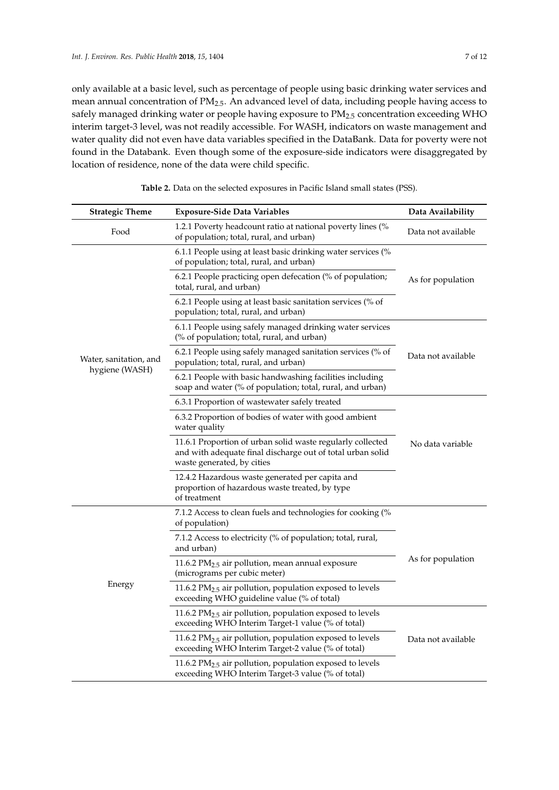only available at a basic level, such as percentage of people using basic drinking water services and mean annual concentration of PM2.5. An advanced level of data, including people having access to safely managed drinking water or people having exposure to PM<sub>2.5</sub> concentration exceeding WHO interim target-3 level, was not readily accessible. For WASH, indicators on waste management and water quality did not even have data variables specified in the DataBank. Data for poverty were not found in the Databank. Even though some of the exposure-side indicators were disaggregated by location of residence, none of the data were child specific.

<span id="page-6-0"></span>

| <b>Strategic Theme</b>                   | <b>Exposure-Side Data Variables</b>                                                                                                                    | Data Availability  |
|------------------------------------------|--------------------------------------------------------------------------------------------------------------------------------------------------------|--------------------|
| Food                                     | 1.2.1 Poverty headcount ratio at national poverty lines (%<br>of population; total, rural, and urban)                                                  | Data not available |
| Water, sanitation, and<br>hygiene (WASH) | 6.1.1 People using at least basic drinking water services (%<br>of population; total, rural, and urban)                                                |                    |
|                                          | 6.2.1 People practicing open defecation (% of population;<br>total, rural, and urban)                                                                  |                    |
|                                          | 6.2.1 People using at least basic sanitation services (% of<br>population; total, rural, and urban)                                                    |                    |
|                                          | 6.1.1 People using safely managed drinking water services<br>(% of population; total, rural, and urban)                                                |                    |
|                                          | 6.2.1 People using safely managed sanitation services (% of<br>population; total, rural, and urban)                                                    | Data not available |
|                                          | 6.2.1 People with basic handwashing facilities including<br>soap and water (% of population; total, rural, and urban)                                  |                    |
|                                          | 6.3.1 Proportion of wastewater safely treated                                                                                                          |                    |
|                                          | 6.3.2 Proportion of bodies of water with good ambient<br>water quality                                                                                 |                    |
|                                          | 11.6.1 Proportion of urban solid waste regularly collected<br>and with adequate final discharge out of total urban solid<br>waste generated, by cities | No data variable   |
|                                          | 12.4.2 Hazardous waste generated per capita and<br>proportion of hazardous waste treated, by type<br>of treatment                                      |                    |
| Energy                                   | 7.1.2 Access to clean fuels and technologies for cooking (%<br>of population)                                                                          |                    |
|                                          | 7.1.2 Access to electricity (% of population; total, rural,<br>and urban)                                                                              |                    |
|                                          | 11.6.2 $PM2.5$ air pollution, mean annual exposure<br>(micrograms per cubic meter)                                                                     | As for population  |
|                                          | 11.6.2 $PM2.5$ air pollution, population exposed to levels<br>exceeding WHO guideline value (% of total)                                               |                    |
|                                          | 11.6.2 $PM_{2.5}$ air pollution, population exposed to levels<br>exceeding WHO Interim Target-1 value (% of total)                                     |                    |
|                                          | 11.6.2 $PM2.5$ air pollution, population exposed to levels<br>exceeding WHO Interim Target-2 value (% of total)                                        | Data not available |
|                                          | 11.6.2 $PM2.5$ air pollution, population exposed to levels<br>exceeding WHO Interim Target-3 value (% of total)                                        |                    |

**Table 2.** Data on the selected exposures in Pacific Island small states (PSS).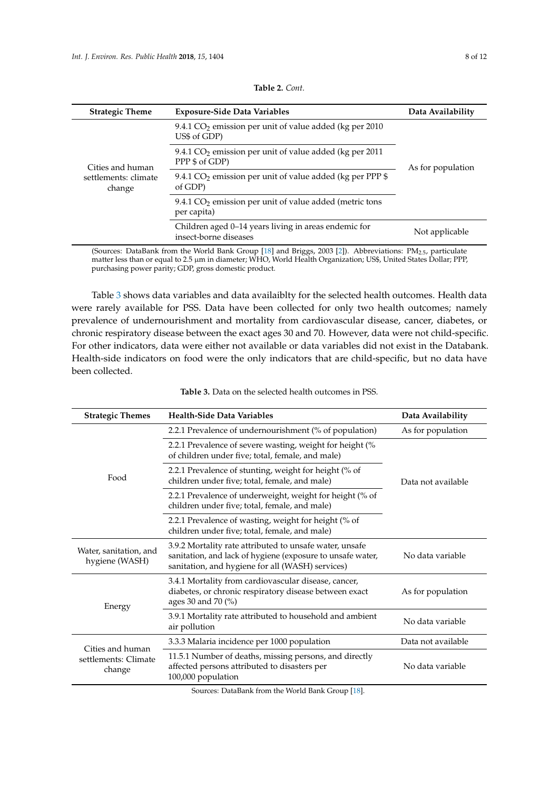| <b>Strategic Theme</b>                             | <b>Exposure-Side Data Variables</b>                                           | Data Availability |
|----------------------------------------------------|-------------------------------------------------------------------------------|-------------------|
| Cities and human<br>settlements: climate<br>change | 9.4.1 $CO2$ emission per unit of value added (kg per 2010<br>US\$ of GDP)     | As for population |
|                                                    | 9.4.1 $CO2$ emission per unit of value added (kg per 2011<br>PPP \$ of GDP)   |                   |
|                                                    | 9.4.1 $CO2$ emission per unit of value added (kg per PPP \$<br>of GDP)        |                   |
|                                                    | 9.4.1 $CO2$ emission per unit of value added (metric tons<br>per capita)      |                   |
|                                                    | Children aged 0-14 years living in areas endemic for<br>insect-borne diseases | Not applicable    |

**Table 2.** *Cont.*

(Sources: DataBank from the World Bank Group [\[18\]](#page-10-10) and Briggs, 2003 [\[2\]](#page-9-1)). Abbreviations: PM<sub>2.5</sub>, particulate matter less than or equal to 2.5  $\mu$ m in diameter; WHO, World Health Organization; US\$, United States Dollar; PPP, purchasing power parity; GDP, gross domestic product.

Table [3](#page-7-0) shows data variables and data availaiblty for the selected health outcomes. Health data were rarely available for PSS. Data have been collected for only two health outcomes; namely prevalence of undernourishment and mortality from cardiovascular disease, cancer, diabetes, or chronic respiratory disease between the exact ages 30 and 70. However, data were not child-specific. For other indicators, data were either not available or data variables did not exist in the Databank. Health-side indicators on food were the only indicators that are child-specific, but no data have been collected.

<span id="page-7-0"></span>

| <b>Strategic Themes</b>                                          | <b>Health-Side Data Variables</b>                                                                                                                                         | Data Availability  |  |
|------------------------------------------------------------------|---------------------------------------------------------------------------------------------------------------------------------------------------------------------------|--------------------|--|
| Food                                                             | 2.2.1 Prevalence of undernourishment (% of population)                                                                                                                    | As for population  |  |
|                                                                  | 2.2.1 Prevalence of severe wasting, weight for height (%<br>of children under five; total, female, and male)                                                              |                    |  |
|                                                                  | 2.2.1 Prevalence of stunting, weight for height (% of<br>children under five; total, female, and male)                                                                    | Data not available |  |
|                                                                  | 2.2.1 Prevalence of underweight, weight for height (% of<br>children under five; total, female, and male)                                                                 |                    |  |
|                                                                  | 2.2.1 Prevalence of wasting, weight for height (% of<br>children under five; total, female, and male)                                                                     |                    |  |
| Water, sanitation, and<br>hygiene (WASH)                         | 3.9.2 Mortality rate attributed to unsafe water, unsafe<br>sanitation, and lack of hygiene (exposure to unsafe water,<br>sanitation, and hygiene for all (WASH) services) | No data variable   |  |
| Energy                                                           | 3.4.1 Mortality from cardiovascular disease, cancer,<br>diabetes, or chronic respiratory disease between exact<br>ages 30 and 70 (%)                                      | As for population  |  |
|                                                                  | 3.9.1 Mortality rate attributed to household and ambient<br>air pollution                                                                                                 | No data variable   |  |
| Cities and human<br>settlements: Climate<br>change               | 3.3.3 Malaria incidence per 1000 population                                                                                                                               | Data not available |  |
|                                                                  | 11.5.1 Number of deaths, missing persons, and directly<br>affected persons attributed to disasters per<br>100,000 population                                              | No data variable   |  |
| $1.1$ $1.7$ $1.7$ $1.7$<br><b>L4 01</b><br>$P_1$ , $P_2$ , $P_3$ |                                                                                                                                                                           |                    |  |

**Table 3.** Data on the selected health outcomes in PSS.

Sources: DataBank from the World Bank Group [\[18\]](#page-10-10).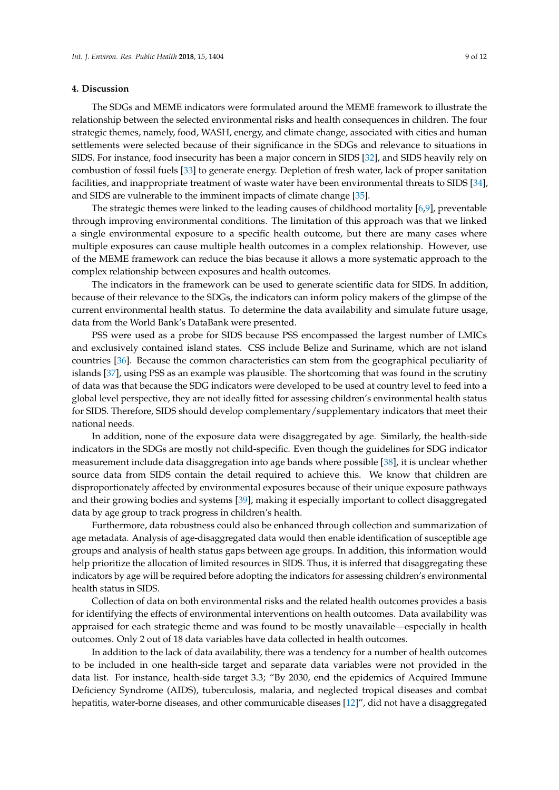#### **4. Discussion**

The SDGs and MEME indicators were formulated around the MEME framework to illustrate the relationship between the selected environmental risks and health consequences in children. The four strategic themes, namely, food, WASH, energy, and climate change, associated with cities and human settlements were selected because of their significance in the SDGs and relevance to situations in SIDS. For instance, food insecurity has been a major concern in SIDS [\[32\]](#page-10-24), and SIDS heavily rely on combustion of fossil fuels [\[33\]](#page-11-0) to generate energy. Depletion of fresh water, lack of proper sanitation facilities, and inappropriate treatment of waste water have been environmental threats to SIDS [\[34\]](#page-11-1), and SIDS are vulnerable to the imminent impacts of climate change [\[35\]](#page-11-2).

The strategic themes were linked to the leading causes of childhood mortality [\[6,](#page-9-5)[9\]](#page-10-1), preventable through improving environmental conditions. The limitation of this approach was that we linked a single environmental exposure to a specific health outcome, but there are many cases where multiple exposures can cause multiple health outcomes in a complex relationship. However, use of the MEME framework can reduce the bias because it allows a more systematic approach to the complex relationship between exposures and health outcomes.

The indicators in the framework can be used to generate scientific data for SIDS. In addition, because of their relevance to the SDGs, the indicators can inform policy makers of the glimpse of the current environmental health status. To determine the data availability and simulate future usage, data from the World Bank's DataBank were presented.

PSS were used as a probe for SIDS because PSS encompassed the largest number of LMICs and exclusively contained island states. CSS include Belize and Suriname, which are not island countries [\[36\]](#page-11-3). Because the common characteristics can stem from the geographical peculiarity of islands [\[37\]](#page-11-4), using PSS as an example was plausible. The shortcoming that was found in the scrutiny of data was that because the SDG indicators were developed to be used at country level to feed into a global level perspective, they are not ideally fitted for assessing children's environmental health status for SIDS. Therefore, SIDS should develop complementary/supplementary indicators that meet their national needs.

In addition, none of the exposure data were disaggregated by age. Similarly, the health-side indicators in the SDGs are mostly not child-specific. Even though the guidelines for SDG indicator measurement include data disaggregation into age bands where possible [\[38\]](#page-11-5), it is unclear whether source data from SIDS contain the detail required to achieve this. We know that children are disproportionately affected by environmental exposures because of their unique exposure pathways and their growing bodies and systems [\[39\]](#page-11-6), making it especially important to collect disaggregated data by age group to track progress in children's health.

Furthermore, data robustness could also be enhanced through collection and summarization of age metadata. Analysis of age-disaggregated data would then enable identification of susceptible age groups and analysis of health status gaps between age groups. In addition, this information would help prioritize the allocation of limited resources in SIDS. Thus, it is inferred that disaggregating these indicators by age will be required before adopting the indicators for assessing children's environmental health status in SIDS.

Collection of data on both environmental risks and the related health outcomes provides a basis for identifying the effects of environmental interventions on health outcomes. Data availability was appraised for each strategic theme and was found to be mostly unavailable—especially in health outcomes. Only 2 out of 18 data variables have data collected in health outcomes.

In addition to the lack of data availability, there was a tendency for a number of health outcomes to be included in one health-side target and separate data variables were not provided in the data list. For instance, health-side target 3.3; "By 2030, end the epidemics of Acquired Immune Deficiency Syndrome (AIDS), tuberculosis, malaria, and neglected tropical diseases and combat hepatitis, water-borne diseases, and other communicable diseases [\[12\]](#page-10-4)", did not have a disaggregated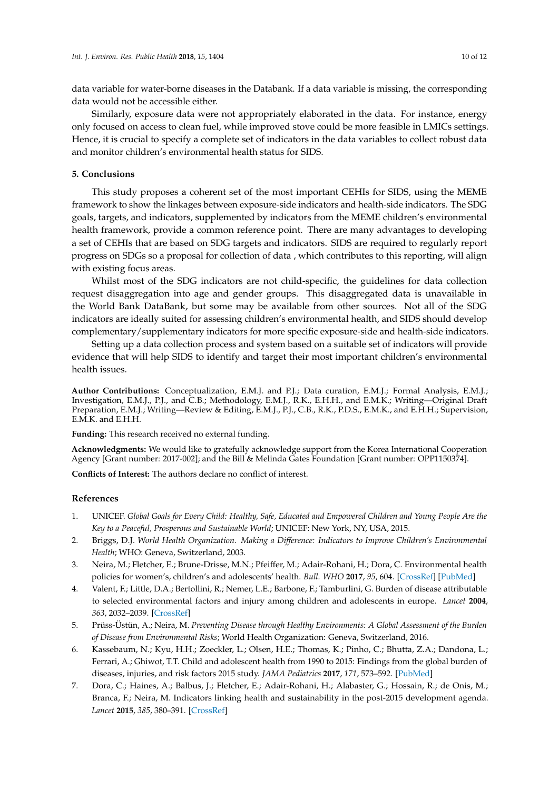data variable for water-borne diseases in the Databank. If a data variable is missing, the corresponding data would not be accessible either.

Similarly, exposure data were not appropriately elaborated in the data. For instance, energy only focused on access to clean fuel, while improved stove could be more feasible in LMICs settings. Hence, it is crucial to specify a complete set of indicators in the data variables to collect robust data and monitor children's environmental health status for SIDS.

### **5. Conclusions**

This study proposes a coherent set of the most important CEHIs for SIDS, using the MEME framework to show the linkages between exposure-side indicators and health-side indicators. The SDG goals, targets, and indicators, supplemented by indicators from the MEME children's environmental health framework, provide a common reference point. There are many advantages to developing a set of CEHIs that are based on SDG targets and indicators. SIDS are required to regularly report progress on SDGs so a proposal for collection of data , which contributes to this reporting, will align with existing focus areas.

Whilst most of the SDG indicators are not child-specific, the guidelines for data collection request disaggregation into age and gender groups. This disaggregated data is unavailable in the World Bank DataBank, but some may be available from other sources. Not all of the SDG indicators are ideally suited for assessing children's environmental health, and SIDS should develop complementary/supplementary indicators for more specific exposure-side and health-side indicators.

Setting up a data collection process and system based on a suitable set of indicators will provide evidence that will help SIDS to identify and target their most important children's environmental health issues.

**Author Contributions:** Conceptualization, E.M.J. and P.J.; Data curation, E.M.J.; Formal Analysis, E.M.J.; Investigation, E.M.J., P.J., and C.B.; Methodology, E.M.J., R.K., E.H.H., and E.M.K.; Writing—Original Draft Preparation, E.M.J.; Writing—Review & Editing, E.M.J., P.J., C.B., R.K., P.D.S., E.M.K., and E.H.H.; Supervision, E.M.K. and E.H.H.

**Funding:** This research received no external funding.

**Acknowledgments:** We would like to gratefully acknowledge support from the Korea International Cooperation Agency [Grant number: 2017-002]; and the Bill & Melinda Gates Foundation [Grant number: OPP1150374].

**Conflicts of Interest:** The authors declare no conflict of interest.

## **References**

- <span id="page-9-0"></span>1. UNICEF. *Global Goals for Every Child: Healthy, Safe, Educated and Empowered Children and Young People Are the Key to a Peaceful, Prosperous and Sustainable World*; UNICEF: New York, NY, USA, 2015.
- <span id="page-9-1"></span>2. Briggs, D.J. *World Health Organization. Making a Difference: Indicators to Improve Children's Environmental Health*; WHO: Geneva, Switzerland, 2003.
- <span id="page-9-2"></span>3. Neira, M.; Fletcher, E.; Brune-Drisse, M.N.; Pfeiffer, M.; Adair-Rohani, H.; Dora, C. Environmental health policies for women's, children's and adolescents' health. *Bull. WHO* **2017**, *95*, 604. [\[CrossRef\]](http://dx.doi.org/10.2471/BLT.16.171736) [\[PubMed\]](http://www.ncbi.nlm.nih.gov/pubmed/28804173)
- <span id="page-9-3"></span>4. Valent, F.; Little, D.A.; Bertollini, R.; Nemer, L.E.; Barbone, F.; Tamburlini, G. Burden of disease attributable to selected environmental factors and injury among children and adolescents in europe. *Lancet* **2004**, *363*, 2032–2039. [\[CrossRef\]](http://dx.doi.org/10.1016/S0140-6736(04)16452-0)
- <span id="page-9-4"></span>5. Prüss-Üstün, A.; Neira, M. *Preventing Disease through Healthy Environments: A Global Assessment of the Burden of Disease from Environmental Risks*; World Health Organization: Geneva, Switzerland, 2016.
- <span id="page-9-5"></span>6. Kassebaum, N.; Kyu, H.H.; Zoeckler, L.; Olsen, H.E.; Thomas, K.; Pinho, C.; Bhutta, Z.A.; Dandona, L.; Ferrari, A.; Ghiwot, T.T. Child and adolescent health from 1990 to 2015: Findings from the global burden of diseases, injuries, and risk factors 2015 study. *JAMA Pediatrics* **2017**, *171*, 573–592. [\[PubMed\]](http://www.ncbi.nlm.nih.gov/pubmed/28384795)
- <span id="page-9-6"></span>7. Dora, C.; Haines, A.; Balbus, J.; Fletcher, E.; Adair-Rohani, H.; Alabaster, G.; Hossain, R.; de Onis, M.; Branca, F.; Neira, M. Indicators linking health and sustainability in the post-2015 development agenda. *Lancet* **2015**, *385*, 380–391. [\[CrossRef\]](http://dx.doi.org/10.1016/S0140-6736(14)60605-X)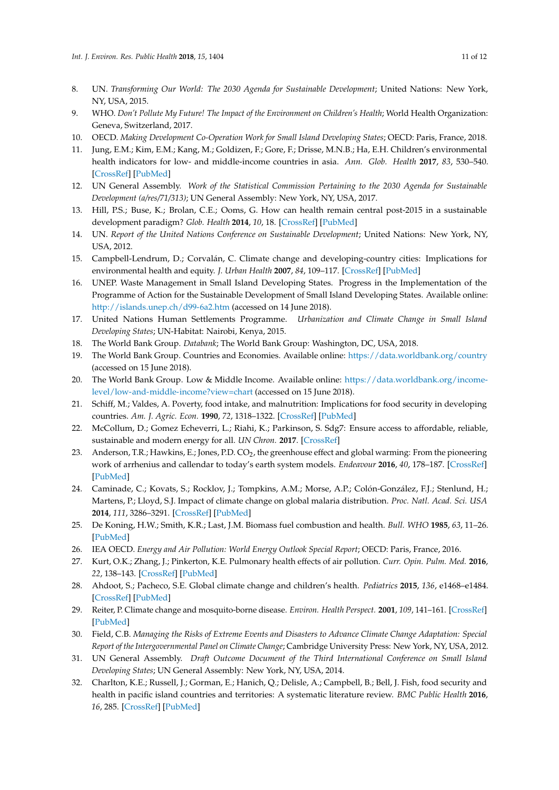- <span id="page-10-0"></span>8. UN. *Transforming Our World: The 2030 Agenda for Sustainable Development*; United Nations: New York, NY, USA, 2015.
- <span id="page-10-1"></span>9. WHO. *Don't Pollute My Future! The Impact of the Environment on Children's Health*; World Health Organization: Geneva, Switzerland, 2017.
- <span id="page-10-2"></span>10. OECD. *Making Development Co-Operation Work for Small Island Developing States*; OECD: Paris, France, 2018.
- <span id="page-10-3"></span>11. Jung, E.M.; Kim, E.M.; Kang, M.; Goldizen, F.; Gore, F.; Drisse, M.N.B.; Ha, E.H. Children's environmental health indicators for low- and middle-income countries in asia. *Ann. Glob. Health* **2017**, *83*, 530–540. [\[CrossRef\]](http://dx.doi.org/10.1016/j.aogh.2017.10.013) [\[PubMed\]](http://www.ncbi.nlm.nih.gov/pubmed/29221526)
- <span id="page-10-4"></span>12. UN General Assembly. *Work of the Statistical Commission Pertaining to the 2030 Agenda for Sustainable Development (a/res/71/313)*; UN General Assembly: New York, NY, USA, 2017.
- <span id="page-10-5"></span>13. Hill, P.S.; Buse, K.; Brolan, C.E.; Ooms, G. How can health remain central post-2015 in a sustainable development paradigm? *Glob. Health* **2014**, *10*, 18. [\[CrossRef\]](http://dx.doi.org/10.1186/1744-8603-10-18) [\[PubMed\]](http://www.ncbi.nlm.nih.gov/pubmed/24708779)
- <span id="page-10-6"></span>14. UN. *Report of the United Nations Conference on Sustainable Development; United Nations: New York, NY,* USA, 2012.
- <span id="page-10-7"></span>15. Campbell-Lendrum, D.; Corvalán, C. Climate change and developing-country cities: Implications for environmental health and equity. *J. Urban Health* **2007**, *84*, 109–117. [\[CrossRef\]](http://dx.doi.org/10.1007/s11524-007-9170-x) [\[PubMed\]](http://www.ncbi.nlm.nih.gov/pubmed/17393341)
- <span id="page-10-8"></span>16. UNEP. Waste Management in Small Island Developing States. Progress in the Implementation of the Programme of Action for the Sustainable Development of Small Island Developing States. Available online: <http://islands.unep.ch/d99-6a2.htm> (accessed on 14 June 2018).
- <span id="page-10-9"></span>17. United Nations Human Settlements Programme. *Urbanization and Climate Change in Small Island Developing States*; UN-Habitat: Nairobi, Kenya, 2015.
- <span id="page-10-10"></span>18. The World Bank Group. *Databank*; The World Bank Group: Washington, DC, USA, 2018.
- <span id="page-10-11"></span>19. The World Bank Group. Countries and Economies. Available online: <https://data.worldbank.org/country> (accessed on 15 June 2018).
- <span id="page-10-12"></span>20. The World Bank Group. Low & Middle Income. Available online: [https://data.worldbank.org/income](https://data.worldbank.org/income-level/low-and-middle-income?view=chart)[level/low-and-middle-income?view=chart](https://data.worldbank.org/income-level/low-and-middle-income?view=chart) (accessed on 15 June 2018).
- <span id="page-10-13"></span>21. Schiff, M.; Valdes, A. Poverty, food intake, and malnutrition: Implications for food security in developing countries. *Am. J. Agric. Econ.* **1990**, *72*, 1318–1322. [\[CrossRef\]](http://dx.doi.org/10.2307/1242554) [\[PubMed\]](http://www.ncbi.nlm.nih.gov/pubmed/12285329)
- <span id="page-10-14"></span>22. McCollum, D.; Gomez Echeverri, L.; Riahi, K.; Parkinson, S. Sdg7: Ensure access to affordable, reliable, sustainable and modern energy for all. *UN Chron.* **2017**. [\[CrossRef\]](http://dx.doi.org/10.24948/2017.01)
- <span id="page-10-15"></span>23. Anderson, T.R.; Hawkins, E.; Jones, P.D. CO<sub>2</sub>, the greenhouse effect and global warming: From the pioneering work of arrhenius and callendar to today's earth system models. *Endeavour* **2016**, *40*, 178–187. [\[CrossRef\]](http://dx.doi.org/10.1016/j.endeavour.2016.07.002) [\[PubMed\]](http://www.ncbi.nlm.nih.gov/pubmed/27469427)
- <span id="page-10-16"></span>24. Caminade, C.; Kovats, S.; Rocklov, J.; Tompkins, A.M.; Morse, A.P.; Colón-González, F.J.; Stenlund, H.; Martens, P.; Lloyd, S.J. Impact of climate change on global malaria distribution. *Proc. Natl. Acad. Sci. USA* **2014**, *111*, 3286–3291. [\[CrossRef\]](http://dx.doi.org/10.1073/pnas.1302089111) [\[PubMed\]](http://www.ncbi.nlm.nih.gov/pubmed/24596427)
- <span id="page-10-17"></span>25. De Koning, H.W.; Smith, K.R.; Last, J.M. Biomass fuel combustion and health. *Bull. WHO* **1985**, *63*, 11–26. [\[PubMed\]](http://www.ncbi.nlm.nih.gov/pubmed/3872729)
- <span id="page-10-18"></span>26. IEA OECD. *Energy and Air Pollution: World Energy Outlook Special Report*; OECD: Paris, France, 2016.
- <span id="page-10-19"></span>27. Kurt, O.K.; Zhang, J.; Pinkerton, K.E. Pulmonary health effects of air pollution. *Curr. Opin. Pulm. Med.* **2016**, *22*, 138–143. [\[CrossRef\]](http://dx.doi.org/10.1097/MCP.0000000000000248) [\[PubMed\]](http://www.ncbi.nlm.nih.gov/pubmed/26761628)
- <span id="page-10-20"></span>28. Ahdoot, S.; Pacheco, S.E. Global climate change and children's health. *Pediatrics* **2015**, *136*, e1468–e1484. [\[CrossRef\]](http://dx.doi.org/10.1542/peds.2015-3233) [\[PubMed\]](http://www.ncbi.nlm.nih.gov/pubmed/26504134)
- <span id="page-10-21"></span>29. Reiter, P. Climate change and mosquito-borne disease. *Environ. Health Perspect.* **2001**, *109*, 141–161. [\[CrossRef\]](http://dx.doi.org/10.1289/ehp.01109s1141) [\[PubMed\]](http://www.ncbi.nlm.nih.gov/pubmed/11250812)
- <span id="page-10-22"></span>30. Field, C.B. *Managing the Risks of Extreme Events and Disasters to Advance Climate Change Adaptation: Special Report of the Intergovernmental Panel on Climate Change*; Cambridge University Press: New York, NY, USA, 2012.
- <span id="page-10-23"></span>31. UN General Assembly. *Draft Outcome Document of the Third International Conference on Small Island Developing States*; UN General Assembly: New York, NY, USA, 2014.
- <span id="page-10-24"></span>32. Charlton, K.E.; Russell, J.; Gorman, E.; Hanich, Q.; Delisle, A.; Campbell, B.; Bell, J. Fish, food security and health in pacific island countries and territories: A systematic literature review. *BMC Public Health* **2016**, *16*, 285. [\[CrossRef\]](http://dx.doi.org/10.1186/s12889-016-2953-9) [\[PubMed\]](http://www.ncbi.nlm.nih.gov/pubmed/27009072)